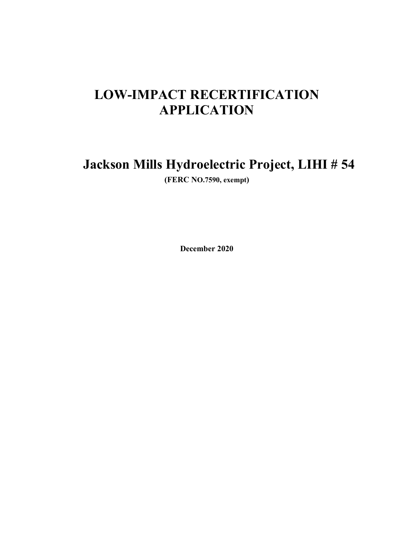# **LOW-IMPACT RECERTIFICATION APPLICATION**

# **Jackson Mills Hydroelectric Project, LIHI # 54**

**(FERC NO.7590, exempt)** 

**December 2020**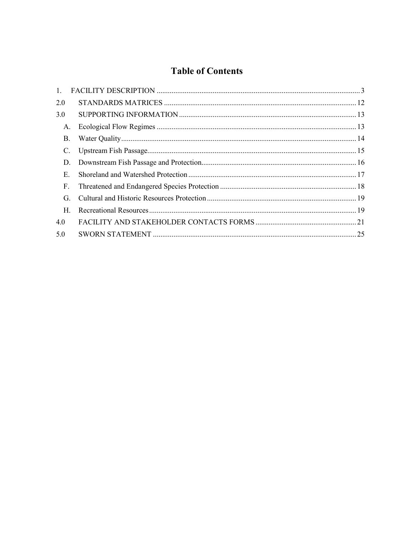# **Table of Contents**

| 1.        |    |  |  |
|-----------|----|--|--|
| 2.0       |    |  |  |
| 3.0       |    |  |  |
| A.        |    |  |  |
| <b>B.</b> |    |  |  |
| C.        |    |  |  |
| D.        |    |  |  |
|           | Е. |  |  |
| F.        |    |  |  |
| G.        |    |  |  |
| H.        |    |  |  |
| 4.0       |    |  |  |
| 5.0       |    |  |  |
|           |    |  |  |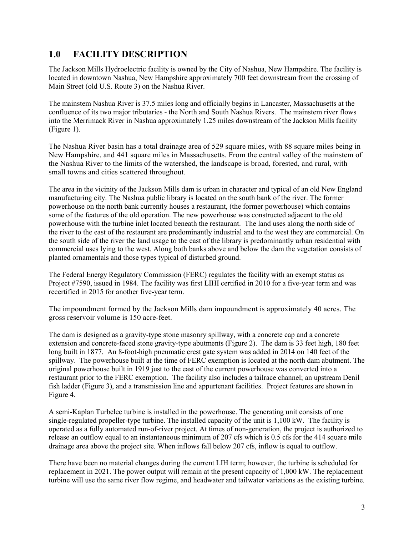## **1.0 FACILITY DESCRIPTION**

The Jackson Mills Hydroelectric facility is owned by the City of Nashua, New Hampshire. The facility is located in downtown Nashua, New Hampshire approximately 700 feet downstream from the crossing of Main Street (old U.S. Route 3) on the Nashua River.

The mainstem Nashua River is 37.5 miles long and officially begins in Lancaster, Massachusetts at the confluence of its two major tributaries - the North and South Nashua Rivers. The mainstem river flows into the Merrimack River in Nashua approximately 1.25 miles downstream of the Jackson Mills facility (Figure 1).

The Nashua River basin has a total drainage area of 529 square miles, with 88 square miles being in New Hampshire, and 441 square miles in Massachusetts. From the central valley of the mainstem of the Nashua River to the limits of the watershed, the landscape is broad, forested, and rural, with small towns and cities scattered throughout.

The area in the vicinity of the Jackson Mills dam is urban in character and typical of an old New England manufacturing city. The Nashua public library is located on the south bank of the river. The former powerhouse on the north bank currently houses a restaurant, (the former powerhouse) which contains some of the features of the old operation. The new powerhouse was constructed adjacent to the old powerhouse with the turbine inlet located beneath the restaurant. The land uses along the north side of the river to the east of the restaurant are predominantly industrial and to the west they are commercial. On the south side of the river the land usage to the east of the library is predominantly urban residential with commercial uses lying to the west. Along both banks above and below the dam the vegetation consists of planted ornamentals and those types typical of disturbed ground.

The Federal Energy Regulatory Commission (FERC) regulates the facility with an exempt status as Project #7590, issued in 1984. The facility was first LIHI certified in 2010 for a five-year term and was recertified in 2015 for another five-year term.

The impoundment formed by the Jackson Mills dam impoundment is approximately 40 acres. The gross reservoir volume is 150 acre-feet.

The dam is designed as a gravity-type stone masonry spillway, with a concrete cap and a concrete extension and concrete-faced stone gravity-type abutments (Figure 2). The dam is 33 feet high, 180 feet long built in 1877. An 8-foot-high pneumatic crest gate system was added in 2014 on 140 feet of the spillway. The powerhouse built at the time of FERC exemption is located at the north dam abutment. The original powerhouse built in 1919 just to the east of the current powerhouse was converted into a restaurant prior to the FERC exemption. The facility also includes a tailrace channel; an upstream Denil fish ladder (Figure 3), and a transmission line and appurtenant facilities. Project features are shown in Figure 4.

A semi-Kaplan Turbelec turbine is installed in the powerhouse. The generating unit consists of one single-regulated propeller-type turbine. The installed capacity of the unit is 1,100 kW. The facility is operated as a fully automated run-of-river project. At times of non-generation, the project is authorized to release an outflow equal to an instantaneous minimum of 207 cfs which is 0.5 cfs for the 414 square mile drainage area above the project site. When inflows fall below 207 cfs, inflow is equal to outflow.

There have been no material changes during the current LIH term; however, the turbine is scheduled for replacement in 2021. The power output will remain at the present capacity of 1,000 kW. The replacement turbine will use the same river flow regime, and headwater and tailwater variations as the existing turbine.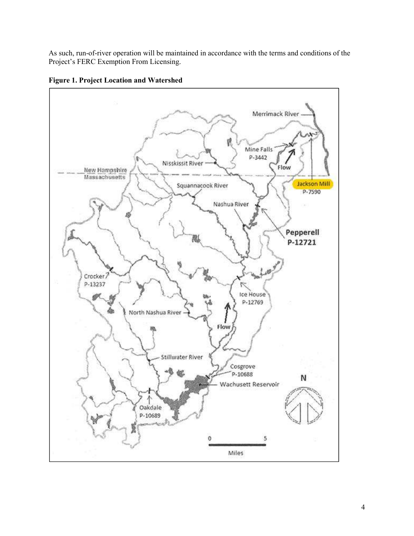As such, run-of-river operation will be maintained in accordance with the terms and conditions of the Project's FERC Exemption From Licensing.



**Figure 1. Project Location and Watershed**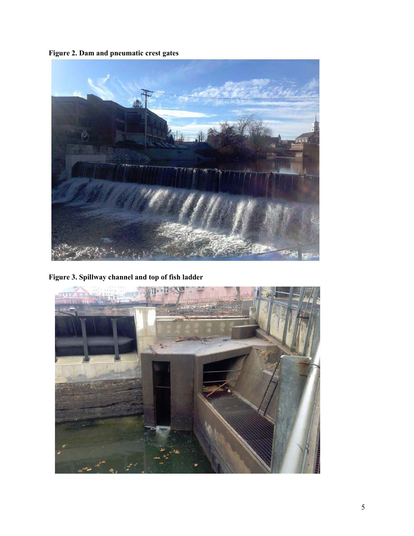**Figure 2. Dam and pneumatic crest gates** 



**Figure 3. Spillway channel and top of fish ladder** 

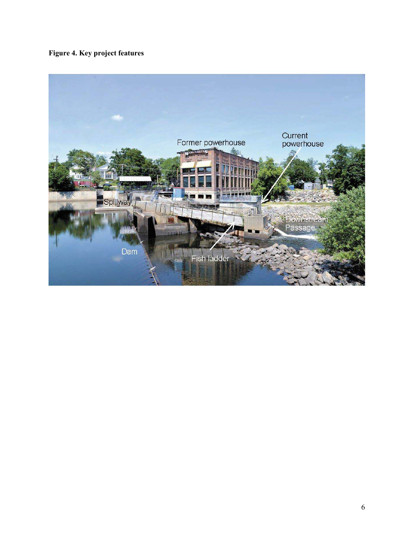**Figure 4. Key project features** 

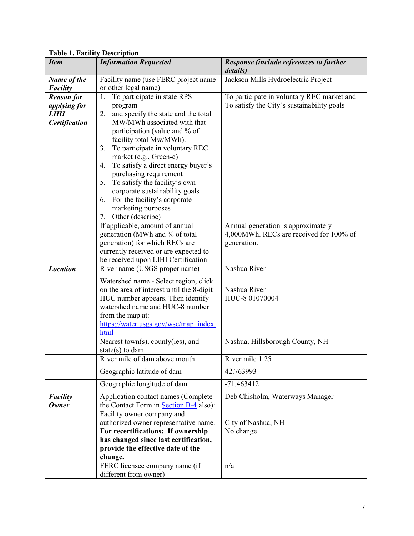| <b>Item</b>          | <b>Information Requested</b>                                    | Response (include references to further<br>details) |
|----------------------|-----------------------------------------------------------------|-----------------------------------------------------|
| Name of the          | Facility name (use FERC project name                            | Jackson Mills Hydroelectric Project                 |
| <b>Facility</b>      | or other legal name)                                            |                                                     |
| <b>Reason for</b>    | To participate in state RPS<br>1.                               | To participate in voluntary REC market and          |
| <i>applying for</i>  | program                                                         | To satisfy the City's sustainability goals          |
| LIHI                 | and specify the state and the total<br>2.                       |                                                     |
| <b>Certification</b> | MW/MWh associated with that                                     |                                                     |
|                      | participation (value and % of                                   |                                                     |
|                      | facility total Mw/MWh).                                         |                                                     |
|                      | To participate in voluntary REC<br>3.<br>market (e.g., Green-e) |                                                     |
|                      | To satisfy a direct energy buyer's<br>4.                        |                                                     |
|                      | purchasing requirement                                          |                                                     |
|                      | To satisfy the facility's own<br>5.                             |                                                     |
|                      | corporate sustainability goals                                  |                                                     |
|                      | For the facility's corporate<br>6.                              |                                                     |
|                      | marketing purposes                                              |                                                     |
|                      | 7. Other (describe)                                             |                                                     |
|                      | If applicable, amount of annual                                 | Annual generation is approximately                  |
|                      | generation (MWh and % of total                                  | 4,000MWh. RECs are received for 100% of             |
|                      | generation) for which RECs are                                  | generation.                                         |
|                      | currently received or are expected to                           |                                                     |
|                      | be received upon LIHI Certification                             |                                                     |
| <b>Location</b>      | River name (USGS proper name)                                   | Nashua River                                        |
|                      | Watershed name - Select region, click                           |                                                     |
|                      | on the area of interest until the 8-digit                       | Nashua River                                        |
|                      | HUC number appears. Then identify                               | HUC-8 01070004                                      |
|                      | watershed name and HUC-8 number                                 |                                                     |
|                      | from the map at:<br>https://water.usgs.gov/wsc/map index.       |                                                     |
|                      | html                                                            |                                                     |
|                      | Nearest town(s), county(ies), and                               | Nashua, Hillsborough County, NH                     |
|                      | state(s) to dam                                                 |                                                     |
|                      | River mile of dam above mouth                                   | River mile 1.25                                     |
|                      | Geographic latitude of dam                                      | 42.763993                                           |
|                      | Geographic longitude of dam                                     | $-71.463412$                                        |
| <b>Facility</b>      | Application contact names (Complete                             | Deb Chisholm, Waterways Manager                     |
| <b>Owner</b>         | the Contact Form in Section B-4 also):                          |                                                     |
|                      | Facility owner company and                                      |                                                     |
|                      | authorized owner representative name.                           | City of Nashua, NH                                  |
|                      | For recertifications: If ownership                              | No change                                           |
|                      | has changed since last certification,                           |                                                     |
|                      | provide the effective date of the                               |                                                     |
|                      | change.                                                         |                                                     |
|                      | FERC licensee company name (if<br>different from owner)         | n/a                                                 |
|                      |                                                                 |                                                     |

**Table 1. Facility Description**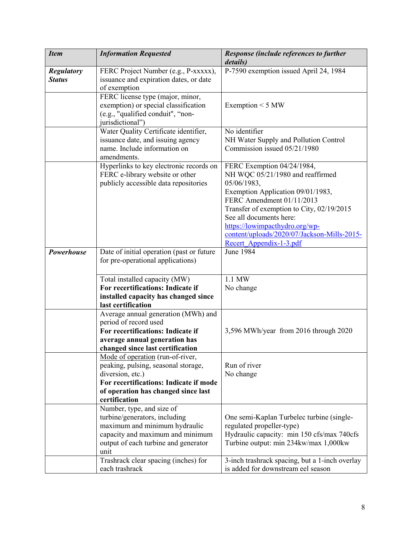| <b>Item</b>       | <b>Information Requested</b>                                               | Response (include references to further<br>details)            |
|-------------------|----------------------------------------------------------------------------|----------------------------------------------------------------|
| <b>Regulatory</b> | FERC Project Number (e.g., P-xxxxx),                                       | P-7590 exemption issued April 24, 1984                         |
| <b>Status</b>     | issuance and expiration dates, or date                                     |                                                                |
|                   | of exemption                                                               |                                                                |
|                   | FERC license type (major, minor,                                           |                                                                |
|                   | exemption) or special classification                                       | Exemption $<$ 5 MW                                             |
|                   | (e.g., "qualified conduit", "non-                                          |                                                                |
|                   | jurisdictional")                                                           |                                                                |
|                   | Water Quality Certificate identifier,                                      | No identifier                                                  |
|                   | issuance date, and issuing agency                                          | NH Water Supply and Pollution Control                          |
|                   | name. Include information on                                               | Commission issued 05/21/1980                                   |
|                   | amendments.                                                                |                                                                |
|                   | Hyperlinks to key electronic records on<br>FERC e-library website or other | FERC Exemption 04/24/1984,<br>NH WQC 05/21/1980 and reaffirmed |
|                   | publicly accessible data repositories                                      | 05/06/1983,                                                    |
|                   |                                                                            | Exemption Application 09/01/1983,                              |
|                   |                                                                            | FERC Amendment 01/11/2013                                      |
|                   |                                                                            | Transfer of exemption to City, 02/19/2015                      |
|                   |                                                                            | See all documents here:                                        |
|                   |                                                                            | https://lowimpacthydro.org/wp-                                 |
|                   |                                                                            | content/uploads/2020/07/Jackson-Mills-2015-                    |
|                   |                                                                            | Recert Appendix-1-3.pdf                                        |
| Powerhouse        | Date of initial operation (past or future                                  | $\overline{J}$ une 1984                                        |
|                   | for pre-operational applications)                                          |                                                                |
|                   |                                                                            |                                                                |
|                   | Total installed capacity (MW)                                              | 1.1 MW                                                         |
|                   | For recertifications: Indicate if                                          | No change                                                      |
|                   | installed capacity has changed since                                       |                                                                |
|                   | last certification                                                         |                                                                |
|                   | Average annual generation (MWh) and                                        |                                                                |
|                   | period of record used<br>For recertifications: Indicate if                 | 3,596 MWh/year from 2016 through 2020                          |
|                   | average annual generation has                                              |                                                                |
|                   | changed since last certification                                           |                                                                |
|                   | Mode of operation (run-of-river,                                           |                                                                |
|                   | peaking, pulsing, seasonal storage,                                        | Run of river                                                   |
|                   | diversion, etc.)                                                           | No change                                                      |
|                   | For recertifications: Indicate if mode                                     |                                                                |
|                   | of operation has changed since last                                        |                                                                |
|                   | certification                                                              |                                                                |
|                   | Number, type, and size of                                                  |                                                                |
|                   | turbine/generators, including                                              | One semi-Kaplan Turbelec turbine (single-                      |
|                   | maximum and minimum hydraulic                                              | regulated propeller-type)                                      |
|                   | capacity and maximum and minimum                                           | Hydraulic capacity: min 150 cfs/max 740cfs                     |
|                   | output of each turbine and generator                                       | Turbine output: min 234kw/max 1,000kw                          |
|                   | unit                                                                       |                                                                |
|                   | Trashrack clear spacing (inches) for                                       | 3-inch trashrack spacing, but a 1-inch overlay                 |
|                   | each trashrack                                                             | is added for downstream eel season                             |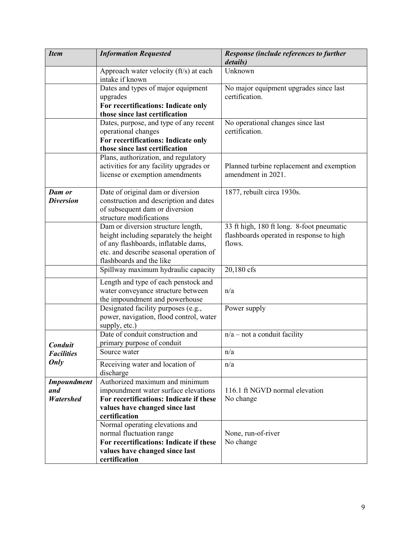| <b>Item</b>                | <b>Information Requested</b>                                                                                                                                                                | Response (include references to further<br>details)                                             |
|----------------------------|---------------------------------------------------------------------------------------------------------------------------------------------------------------------------------------------|-------------------------------------------------------------------------------------------------|
|                            | Approach water velocity (ft/s) at each<br>intake if known                                                                                                                                   | Unknown                                                                                         |
|                            | Dates and types of major equipment<br>upgrades<br>For recertifications: Indicate only                                                                                                       | No major equipment upgrades since last<br>certification.                                        |
|                            | those since last certification                                                                                                                                                              |                                                                                                 |
|                            | Dates, purpose, and type of any recent<br>operational changes<br>For recertifications: Indicate only                                                                                        | No operational changes since last<br>certification.                                             |
|                            | those since last certification                                                                                                                                                              |                                                                                                 |
|                            | Plans, authorization, and regulatory<br>activities for any facility upgrades or<br>license or exemption amendments                                                                          | Planned turbine replacement and exemption<br>amendment in 2021.                                 |
| Dam or<br><b>Diversion</b> | Date of original dam or diversion<br>construction and description and dates<br>of subsequent dam or diversion<br>structure modifications                                                    | 1877, rebuilt circa 1930s.                                                                      |
|                            | Dam or diversion structure length,<br>height including separately the height<br>of any flashboards, inflatable dams,<br>etc. and describe seasonal operation of<br>flashboards and the like | 33 ft high, 180 ft long. 8-foot pneumatic<br>flashboards operated in response to high<br>flows. |
|                            | Spillway maximum hydraulic capacity                                                                                                                                                         | 20,180 cfs                                                                                      |
|                            | Length and type of each penstock and<br>water conveyance structure between<br>the impoundment and powerhouse                                                                                | n/a                                                                                             |
|                            | Designated facility purposes (e.g.,<br>power, navigation, flood control, water<br>supply, etc.)                                                                                             | Power supply                                                                                    |
| Conduit                    | Date of conduit construction and<br>primary purpose of conduit                                                                                                                              | $n/a$ – not a conduit facility                                                                  |
| <i><b>Facilities</b></i>   | Source water                                                                                                                                                                                | n/a                                                                                             |
| Only                       | Receiving water and location of<br>discharge                                                                                                                                                | n/a                                                                                             |
| <b>Impoundment</b>         | Authorized maximum and minimum                                                                                                                                                              |                                                                                                 |
| and                        | impoundment water surface elevations                                                                                                                                                        | 116.1 ft NGVD normal elevation                                                                  |
| <b>Watershed</b>           | For recertifications: Indicate if these                                                                                                                                                     | No change                                                                                       |
|                            | values have changed since last<br>certification                                                                                                                                             |                                                                                                 |
|                            | Normal operating elevations and                                                                                                                                                             |                                                                                                 |
|                            | normal fluctuation range                                                                                                                                                                    | None, run-of-river                                                                              |
|                            | For recertifications: Indicate if these                                                                                                                                                     | No change                                                                                       |
|                            | values have changed since last<br>certification                                                                                                                                             |                                                                                                 |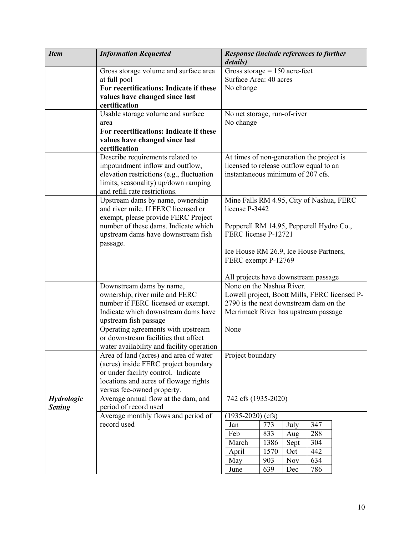| <b>Item</b>    | <b>Information Requested</b>                                                                                                                                                                 | <b>Response (include references to further</b><br>details)                                                                |  |  |
|----------------|----------------------------------------------------------------------------------------------------------------------------------------------------------------------------------------------|---------------------------------------------------------------------------------------------------------------------------|--|--|
|                | Gross storage volume and surface area<br>at full pool                                                                                                                                        | Gross storage $= 150$ acre-feet<br>Surface Area: 40 acres                                                                 |  |  |
|                | For recertifications: Indicate if these<br>values have changed since last<br>certification                                                                                                   | No change                                                                                                                 |  |  |
|                | Usable storage volume and surface<br>area                                                                                                                                                    | No net storage, run-of-river<br>No change                                                                                 |  |  |
|                | For recertifications: Indicate if these<br>values have changed since last<br>certification                                                                                                   |                                                                                                                           |  |  |
|                | Describe requirements related to<br>impoundment inflow and outflow,<br>elevation restrictions (e.g., fluctuation<br>limits, seasonality) up/down ramping<br>and refill rate restrictions.    | At times of non-generation the project is<br>licensed to release outflow equal to an<br>instantaneous minimum of 207 cfs. |  |  |
|                | Upstream dams by name, ownership<br>and river mile. If FERC licensed or<br>exempt, please provide FERC Project                                                                               | Mine Falls RM 4.95, City of Nashua, FERC<br>license P-3442                                                                |  |  |
|                | number of these dams. Indicate which<br>upstream dams have downstream fish<br>passage.                                                                                                       | Pepperell RM 14.95, Pepperell Hydro Co.,<br>FERC license P-12721                                                          |  |  |
|                |                                                                                                                                                                                              | Ice House RM 26.9, Ice House Partners,<br>FERC exempt P-12769                                                             |  |  |
|                |                                                                                                                                                                                              | All projects have downstream passage                                                                                      |  |  |
|                | Downstream dams by name,                                                                                                                                                                     | None on the Nashua River.                                                                                                 |  |  |
|                | ownership, river mile and FERC                                                                                                                                                               | Lowell project, Boott Mills, FERC licensed P-<br>2790 is the next downstream dam on the                                   |  |  |
|                | number if FERC licensed or exempt.<br>Indicate which downstream dams have<br>upstream fish passage                                                                                           | Merrimack River has upstream passage                                                                                      |  |  |
|                | Operating agreements with upstream<br>or downstream facilities that affect<br>water availability and facility operation                                                                      | None                                                                                                                      |  |  |
|                | Area of land (acres) and area of water<br>(acres) inside FERC project boundary<br>or under facility control. Indicate<br>locations and acres of flowage rights<br>versus fee-owned property. | Project boundary                                                                                                          |  |  |
| Hydrologic     | Average annual flow at the dam, and                                                                                                                                                          | 742 cfs (1935-2020)                                                                                                       |  |  |
| <b>Setting</b> | period of record used                                                                                                                                                                        |                                                                                                                           |  |  |
|                | Average monthly flows and period of<br>record used                                                                                                                                           | $(1935-2020)$ (cfs)<br>773<br>July<br>347<br>Jan                                                                          |  |  |
|                |                                                                                                                                                                                              | Feb<br>833<br>288<br>Aug                                                                                                  |  |  |
|                |                                                                                                                                                                                              | 1386<br>304<br>March<br>Sept                                                                                              |  |  |
|                |                                                                                                                                                                                              | April<br>1570<br>442<br>Oct                                                                                               |  |  |
|                |                                                                                                                                                                                              | 903<br><b>Nov</b><br>634<br>May                                                                                           |  |  |
|                |                                                                                                                                                                                              | 639<br>786<br>June<br>Dec                                                                                                 |  |  |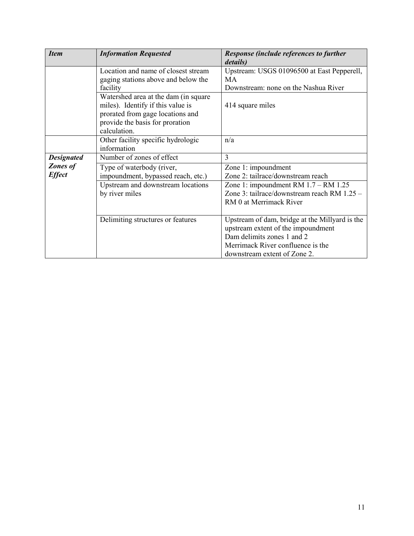| <b>Item</b>       | <b>Information Requested</b>         | Response (include references to further        |
|-------------------|--------------------------------------|------------------------------------------------|
|                   |                                      | details)                                       |
|                   | Location and name of closest stream  | Upstream: USGS 01096500 at East Pepperell,     |
|                   | gaging stations above and below the  | <b>MA</b>                                      |
|                   | facility                             | Downstream: none on the Nashua River           |
|                   | Watershed area at the dam (in square |                                                |
|                   | miles). Identify if this value is    | 414 square miles                               |
|                   | prorated from gage locations and     |                                                |
|                   | provide the basis for proration      |                                                |
|                   | calculation.                         |                                                |
|                   | Other facility specific hydrologic   | n/a                                            |
|                   | information                          |                                                |
| <b>Designated</b> | Number of zones of effect            | 3                                              |
| <b>Zones of</b>   | Type of waterbody (river,            | Zone 1: impoundment                            |
| <b>Effect</b>     | impoundment, bypassed reach, etc.)   | Zone 2: tailrace/downstream reach              |
|                   | Upstream and downstream locations    | Zone 1: impoundment RM $1.7 - RM$ 1.25         |
|                   | by river miles                       | Zone 3: tailrace/downstream reach RM 1.25 -    |
|                   |                                      | RM 0 at Merrimack River                        |
|                   |                                      |                                                |
|                   | Delimiting structures or features    | Upstream of dam, bridge at the Millyard is the |
|                   |                                      | upstream extent of the impoundment             |
|                   |                                      | Dam delimits zones 1 and 2                     |
|                   |                                      | Merrimack River confluence is the              |
|                   |                                      | downstream extent of Zone 2.                   |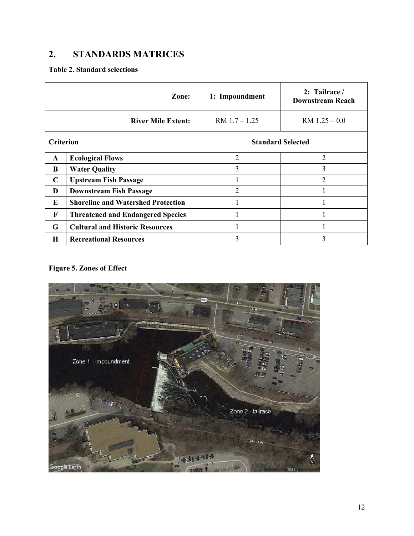# **2. STANDARDS MATRICES**

### **Table 2. Standard selections**

|                  | Zone:                                     | 1: Impoundment           | 2: Tailrace /<br><b>Downstream Reach</b> |
|------------------|-------------------------------------------|--------------------------|------------------------------------------|
|                  | <b>River Mile Extent:</b>                 | $RM$ 1.7 $-$ 1.25        | $RM$ 1.25 $-0.0$                         |
| <b>Criterion</b> |                                           | <b>Standard Selected</b> |                                          |
| $\mathbf{A}$     | <b>Ecological Flows</b>                   | $\overline{2}$           | 2                                        |
| B                | <b>Water Quality</b>                      | 3                        | 3                                        |
| C                | <b>Upstream Fish Passage</b>              |                          | $\overline{2}$                           |
| D                | <b>Downstream Fish Passage</b>            | 2                        |                                          |
| Е                | <b>Shoreline and Watershed Protection</b> |                          |                                          |
| F                | <b>Threatened and Endangered Species</b>  | 1                        |                                          |
| G                | <b>Cultural and Historic Resources</b>    | 1                        |                                          |
| H                | <b>Recreational Resources</b>             | 3                        | 3                                        |

## **Figure 5. Zones of Effect**

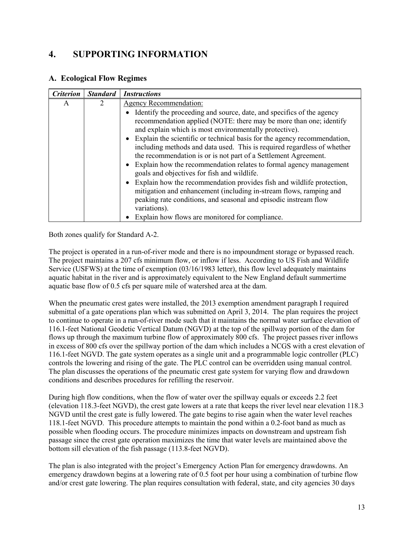# **4. SUPPORTING INFORMATION**

#### **A. Ecological Flow Regimes**

| <b>Criterion</b> | <b>Standard</b> | <b>Instructions</b>                                                                                                                                                                                                                                                                                                                                                                                                                                                                                                                                                                                                                                                                                                                                                                                                                                |
|------------------|-----------------|----------------------------------------------------------------------------------------------------------------------------------------------------------------------------------------------------------------------------------------------------------------------------------------------------------------------------------------------------------------------------------------------------------------------------------------------------------------------------------------------------------------------------------------------------------------------------------------------------------------------------------------------------------------------------------------------------------------------------------------------------------------------------------------------------------------------------------------------------|
| A                |                 | <b>Agency Recommendation:</b>                                                                                                                                                                                                                                                                                                                                                                                                                                                                                                                                                                                                                                                                                                                                                                                                                      |
|                  |                 | • Identify the proceeding and source, date, and specifics of the agency<br>recommendation applied (NOTE: there may be more than one; identify<br>and explain which is most environmentally protective).<br>• Explain the scientific or technical basis for the agency recommendation,<br>including methods and data used. This is required regardless of whether<br>the recommendation is or is not part of a Settlement Agreement.<br>• Explain how the recommendation relates to formal agency management<br>goals and objectives for fish and wildlife.<br>• Explain how the recommendation provides fish and wildlife protection,<br>mitigation and enhancement (including in-stream flows, ramping and<br>peaking rate conditions, and seasonal and episodic instream flow<br>variations).<br>Explain how flows are monitored for compliance. |

#### Both zones qualify for Standard A-2.

The project is operated in a run-of-river mode and there is no impoundment storage or bypassed reach. The project maintains a 207 cfs minimum flow, or inflow if less. According to US Fish and Wildlife Service (USFWS) at the time of exemption (03/16/1983 letter), this flow level adequately maintains aquatic habitat in the river and is approximately equivalent to the New England default summertime aquatic base flow of 0.5 cfs per square mile of watershed area at the dam.

When the pneumatic crest gates were installed, the 2013 exemption amendment paragraph I required submittal of a gate operations plan which was submitted on April 3, 2014. The plan requires the project to continue to operate in a run-of-river mode such that it maintains the normal water surface elevation of 116.1-feet National Geodetic Vertical Datum (NGVD) at the top of the spillway portion of the dam for flows up through the maximum turbine flow of approximately 800 cfs. The project passes river inflows in excess of 800 cfs over the spillway portion of the dam which includes a NCGS with a crest elevation of 116.1-feet NGVD. The gate system operates as a single unit and a programmable logic controller (PLC) controls the lowering and rising of the gate. The PLC control can be overridden using manual control. The plan discusses the operations of the pneumatic crest gate system for varying flow and drawdown conditions and describes procedures for refilling the reservoir.

During high flow conditions, when the flow of water over the spillway equals or exceeds 2.2 feet (elevation 118.3-feet NGVD), the crest gate lowers at a rate that keeps the river level near elevation 118.3 NGVD until the crest gate is fully lowered. The gate begins to rise again when the water level reaches 118.1-feet NGVD. This procedure attempts to maintain the pond within a 0.2-foot band as much as possible when flooding occurs. The procedure minimizes impacts on downstream and upstream fish passage since the crest gate operation maximizes the time that water levels are maintained above the bottom sill elevation of the fish passage (113.8-feet NGVD).

The plan is also integrated with the project's Emergency Action Plan for emergency drawdowns. An emergency drawdown begins at a lowering rate of 0.5 foot per hour using a combination of turbine flow and/or crest gate lowering. The plan requires consultation with federal, state, and city agencies 30 days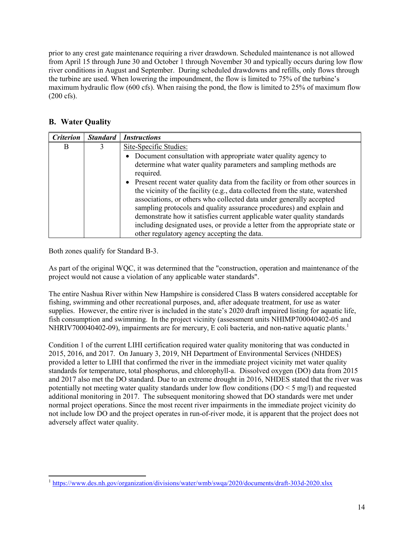prior to any crest gate maintenance requiring a river drawdown. Scheduled maintenance is not allowed from April 15 through June 30 and October 1 through November 30 and typically occurs during low flow river conditions in August and September. During scheduled drawdowns and refills, only flows through the turbine are used. When lowering the impoundment, the flow is limited to 75% of the turbine's maximum hydraulic flow (600 cfs). When raising the pond, the flow is limited to 25% of maximum flow (200 cfs).

## **B. Water Quality**

| <b>Criterion</b> | <b>Standard</b> | <b>Instructions</b>                                                            |  |
|------------------|-----------------|--------------------------------------------------------------------------------|--|
| B                | 3               | Site-Specific Studies:                                                         |  |
|                  |                 | Document consultation with appropriate water quality agency to                 |  |
|                  |                 | determine what water quality parameters and sampling methods are               |  |
|                  |                 | required.                                                                      |  |
|                  |                 | • Present recent water quality data from the facility or from other sources in |  |
|                  |                 | the vicinity of the facility (e.g., data collected from the state, watershed   |  |
|                  |                 | associations, or others who collected data under generally accepted            |  |
|                  |                 | sampling protocols and quality assurance procedures) and explain and           |  |
|                  |                 | demonstrate how it satisfies current applicable water quality standards        |  |
|                  |                 | including designated uses, or provide a letter from the appropriate state or   |  |
|                  |                 | other regulatory agency accepting the data.                                    |  |

Both zones qualify for Standard B-3.

As part of the original WQC, it was determined that the "construction, operation and maintenance of the project would not cause a violation of any applicable water standards".

The entire Nashua River within New Hampshire is considered Class B waters considered acceptable for fishing, swimming and other recreational purposes, and, after adequate treatment, for use as water supplies. However, the entire river is included in the state's 2020 draft impaired listing for aquatic life, fish consumption and swimming. In the project vicinity (assessment units NHIMP700040402-05 and NHRIV700040402-09), impairments are for mercury, E coli bacteria, and non-native aquatic plants.<sup>1</sup>

Condition 1 of the current LIHI certification required water quality monitoring that was conducted in 2015, 2016, and 2017. On January 3, 2019, NH Department of Environmental Services (NHDES) provided a letter to LIHI that confirmed the river in the immediate project vicinity met water quality standards for temperature, total phosphorus, and chlorophyll-a. Dissolved oxygen (DO) data from 2015 and 2017 also met the DO standard. Due to an extreme drought in 2016, NHDES stated that the river was potentially not meeting water quality standards under low flow conditions (DO < 5 mg/l) and requested additional monitoring in 2017. The subsequent monitoring showed that DO standards were met under normal project operations. Since the most recent river impairments in the immediate project vicinity do not include low DO and the project operates in run-of-river mode, it is apparent that the project does not adversely affect water quality.

 $\ddot{\phantom{a}}$ <sup>1</sup> https://www.des.nh.gov/organization/divisions/water/wmb/swqa/2020/documents/draft-303d-2020.xlsx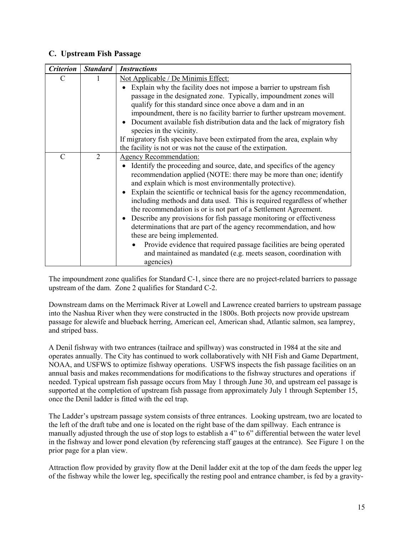#### **C. Upstream Fish Passage**

| <b>Criterion</b> | <b>Standard</b> | <b>Instructions</b>                                                                                                                                                                                                                                                                                                                                                                                                                                                                                                                                                                                                                                                                                                                                                                                                  |  |
|------------------|-----------------|----------------------------------------------------------------------------------------------------------------------------------------------------------------------------------------------------------------------------------------------------------------------------------------------------------------------------------------------------------------------------------------------------------------------------------------------------------------------------------------------------------------------------------------------------------------------------------------------------------------------------------------------------------------------------------------------------------------------------------------------------------------------------------------------------------------------|--|
| C                |                 | Not Applicable / De Minimis Effect:                                                                                                                                                                                                                                                                                                                                                                                                                                                                                                                                                                                                                                                                                                                                                                                  |  |
|                  |                 | Explain why the facility does not impose a barrier to upstream fish<br>passage in the designated zone. Typically, impoundment zones will<br>qualify for this standard since once above a dam and in an<br>impoundment, there is no facility barrier to further upstream movement.<br>Document available fish distribution data and the lack of migratory fish<br>species in the vicinity.<br>If migratory fish species have been extirpated from the area, explain why                                                                                                                                                                                                                                                                                                                                               |  |
|                  |                 | the facility is not or was not the cause of the extirpation.                                                                                                                                                                                                                                                                                                                                                                                                                                                                                                                                                                                                                                                                                                                                                         |  |
| $\mathbf C$      | $\overline{2}$  | <b>Agency Recommendation:</b><br>Identify the proceeding and source, date, and specifics of the agency<br>recommendation applied (NOTE: there may be more than one; identify<br>and explain which is most environmentally protective).<br>Explain the scientific or technical basis for the agency recommendation,<br>including methods and data used. This is required regardless of whether<br>the recommendation is or is not part of a Settlement Agreement.<br>Describe any provisions for fish passage monitoring or effectiveness<br>determinations that are part of the agency recommendation, and how<br>these are being implemented.<br>Provide evidence that required passage facilities are being operated<br>$\bullet$<br>and maintained as mandated (e.g. meets season, coordination with<br>agencies) |  |

The impoundment zone qualifies for Standard C-1, since there are no project-related barriers to passage upstream of the dam. Zone 2 qualifies for Standard C-2.

Downstream dams on the Merrimack River at Lowell and Lawrence created barriers to upstream passage into the Nashua River when they were constructed in the 1800s. Both projects now provide upstream passage for alewife and blueback herring, American eel, American shad, Atlantic salmon, sea lamprey, and striped bass.

A Denil fishway with two entrances (tailrace and spillway) was constructed in 1984 at the site and operates annually. The City has continued to work collaboratively with NH Fish and Game Department, NOAA, and USFWS to optimize fishway operations. USFWS inspects the fish passage facilities on an annual basis and makes recommendations for modifications to the fishway structures and operations if needed. Typical upstream fish passage occurs from May 1 through June 30, and upstream eel passage is supported at the completion of upstream fish passage from approximately July 1 through September 15, once the Denil ladder is fitted with the eel trap.

The Ladder's upstream passage system consists of three entrances. Looking upstream, two are located to the left of the draft tube and one is located on the right base of the dam spillway. Each entrance is manually adjusted through the use of stop logs to establish a 4" to 6" differential between the water level in the fishway and lower pond elevation (by referencing staff gauges at the entrance). See Figure 1 on the prior page for a plan view.

Attraction flow provided by gravity flow at the Denil ladder exit at the top of the dam feeds the upper leg of the fishway while the lower leg, specifically the resting pool and entrance chamber, is fed by a gravity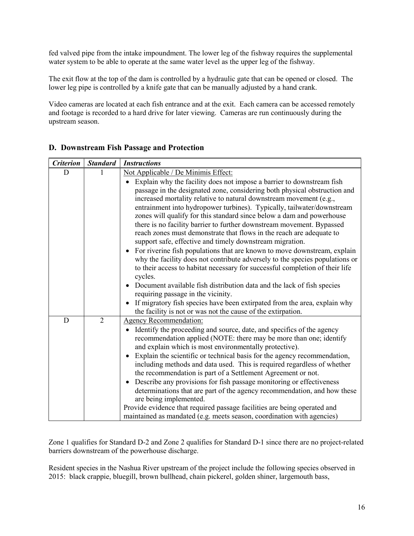fed valved pipe from the intake impoundment. The lower leg of the fishway requires the supplemental water system to be able to operate at the same water level as the upper leg of the fishway.

The exit flow at the top of the dam is controlled by a hydraulic gate that can be opened or closed. The lower leg pipe is controlled by a knife gate that can be manually adjusted by a hand crank.

Video cameras are located at each fish entrance and at the exit. Each camera can be accessed remotely and footage is recorded to a hard drive for later viewing. Cameras are run continuously during the upstream season.

| <b>Criterion</b> | <b>Standard</b> | <b>Instructions</b>                                                                                                                                                                                                                                                                                                                                                                                                                                                                                                                                                                                                                                                                                                                                                                                                                                                                                                                                                                                                                                                                                                                                   |
|------------------|-----------------|-------------------------------------------------------------------------------------------------------------------------------------------------------------------------------------------------------------------------------------------------------------------------------------------------------------------------------------------------------------------------------------------------------------------------------------------------------------------------------------------------------------------------------------------------------------------------------------------------------------------------------------------------------------------------------------------------------------------------------------------------------------------------------------------------------------------------------------------------------------------------------------------------------------------------------------------------------------------------------------------------------------------------------------------------------------------------------------------------------------------------------------------------------|
| D                |                 | Not Applicable / De Minimis Effect:<br>Explain why the facility does not impose a barrier to downstream fish<br>passage in the designated zone, considering both physical obstruction and<br>increased mortality relative to natural downstream movement (e.g.,<br>entrainment into hydropower turbines). Typically, tailwater/downstream<br>zones will qualify for this standard since below a dam and powerhouse<br>there is no facility barrier to further downstream movement. Bypassed<br>reach zones must demonstrate that flows in the reach are adequate to<br>support safe, effective and timely downstream migration.<br>• For riverine fish populations that are known to move downstream, explain<br>why the facility does not contribute adversely to the species populations or<br>to their access to habitat necessary for successful completion of their life<br>cycles.<br>Document available fish distribution data and the lack of fish species<br>requiring passage in the vicinity.<br>If migratory fish species have been extirpated from the area, explain why<br>the facility is not or was not the cause of the extirpation. |
| D                | $\overline{2}$  | <b>Agency Recommendation:</b><br>Identify the proceeding and source, date, and specifics of the agency<br>$\bullet$<br>recommendation applied (NOTE: there may be more than one; identify<br>and explain which is most environmentally protective).<br>Explain the scientific or technical basis for the agency recommendation,<br>including methods and data used. This is required regardless of whether<br>the recommendation is part of a Settlement Agreement or not.<br>Describe any provisions for fish passage monitoring or effectiveness<br>determinations that are part of the agency recommendation, and how these<br>are being implemented.<br>Provide evidence that required passage facilities are being operated and<br>maintained as mandated (e.g. meets season, coordination with agencies)                                                                                                                                                                                                                                                                                                                                        |

#### **D. Downstream Fish Passage and Protection**

Zone 1 qualifies for Standard D-2 and Zone 2 qualifies for Standard D-1 since there are no project-related barriers downstream of the powerhouse discharge.

Resident species in the Nashua River upstream of the project include the following species observed in 2015: black crappie, bluegill, brown bullhead, chain pickerel, golden shiner, largemouth bass,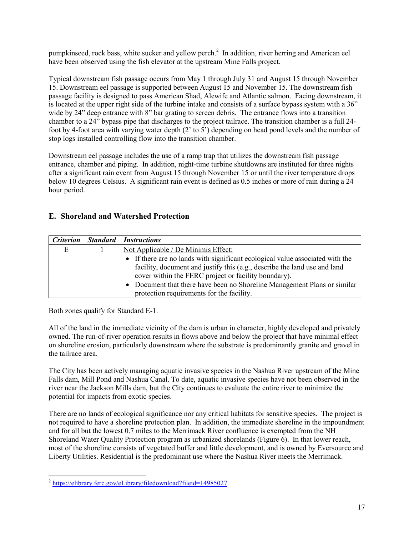pumpkinseed, rock bass, white sucker and yellow perch.<sup>2</sup> In addition, river herring and American eel have been observed using the fish elevator at the upstream Mine Falls project.

Typical downstream fish passage occurs from May 1 through July 31 and August 15 through November 15. Downstream eel passage is supported between August 15 and November 15. The downstream fish passage facility is designed to pass American Shad, Alewife and Atlantic salmon. Facing downstream, it is located at the upper right side of the turbine intake and consists of a surface bypass system with a 36" wide by 24" deep entrance with 8" bar grating to screen debris. The entrance flows into a transition chamber to a 24" bypass pipe that discharges to the project tailrace. The transition chamber is a full 24 foot by 4-foot area with varying water depth (2' to 5') depending on head pond levels and the number of stop logs installed controlling flow into the transition chamber.

Downstream eel passage includes the use of a ramp trap that utilizes the downstream fish passage entrance, chamber and piping. In addition, night-time turbine shutdowns are instituted for three nights after a significant rain event from August 15 through November 15 or until the river temperature drops below 10 degrees Celsius. A significant rain event is defined as 0.5 inches or more of rain during a 24 hour period.

#### **E. Shoreland and Watershed Protection**

| <b>Criterion</b> | Standard Instructions                                                         |
|------------------|-------------------------------------------------------------------------------|
| E                | Not Applicable / De Minimis Effect:                                           |
|                  | • If there are no lands with significant ecological value associated with the |
|                  | facility, document and justify this (e.g., describe the land use and land     |
|                  | cover within the FERC project or facility boundary).                          |
|                  | • Document that there have been no Shoreline Management Plans or similar      |
|                  | protection requirements for the facility.                                     |

Both zones qualify for Standard E-1.

All of the land in the immediate vicinity of the dam is urban in character, highly developed and privately owned. The run-of-river operation results in flows above and below the project that have minimal effect on shoreline erosion, particularly downstream where the substrate is predominantly granite and gravel in the tailrace area.

The City has been actively managing aquatic invasive species in the Nashua River upstream of the Mine Falls dam, Mill Pond and Nashua Canal. To date, aquatic invasive species have not been observed in the river near the Jackson Mills dam, but the City continues to evaluate the entire river to minimize the potential for impacts from exotic species.

There are no lands of ecological significance nor any critical habitats for sensitive species. The project is not required to have a shoreline protection plan. In addition, the immediate shoreline in the impoundment and for all but the lowest 0.7 miles to the Merrimack River confluence is exempted from the NH Shoreland Water Quality Protection program as urbanized shorelands (Figure 6). In that lower reach, most of the shoreline consists of vegetated buffer and little development, and is owned by Eversource and Liberty Utilities. Residential is the predominant use where the Nashua River meets the Merrimack.

<sup>&</sup>lt;sup>2</sup> https://elibrary.ferc.gov/eLibrary/filedownload?fileid=14985027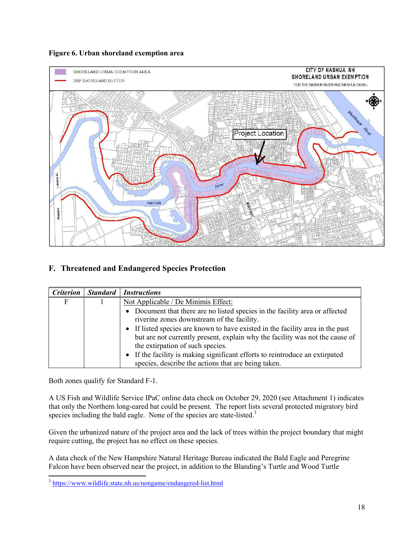



## **F. Threatened and Endangered Species Protection**

| <b>Criterion</b> | <b>Standard</b> | <b>Instructions</b>                                                                                                                                                                                |  |
|------------------|-----------------|----------------------------------------------------------------------------------------------------------------------------------------------------------------------------------------------------|--|
| F                |                 | Not Applicable / De Minimis Effect:                                                                                                                                                                |  |
|                  |                 | • Document that there are no listed species in the facility area or affected<br>riverine zones downstream of the facility.                                                                         |  |
|                  |                 | • If listed species are known to have existed in the facility area in the past<br>but are not currently present, explain why the facility was not the cause of<br>the extirpation of such species. |  |
|                  |                 | If the facility is making significant efforts to reintroduce an extirpated<br>species, describe the actions that are being taken.                                                                  |  |

Both zones qualify for Standard F-1.

A US Fish and Wildlife Service IPaC online data check on October 29, 2020 (see Attachment 1) indicates that only the Northern long-eared bat could be present. The report lists several protected migratory bird species including the bald eagle. None of the species are state-listed.<sup>3</sup>

Given the urbanized nature of the project area and the lack of trees within the project boundary that might require cutting, the project has no effect on these species.

A data check of the New Hampshire Natural Heritage Bureau indicated the Bald Eagle and Peregrine Falcon have been observed near the project, in addition to the Blanding's Turtle and Wood Turtle

<sup>&</sup>lt;sup>3</sup> https://www.wildlife.state.nh.us/nongame/endangered-list.html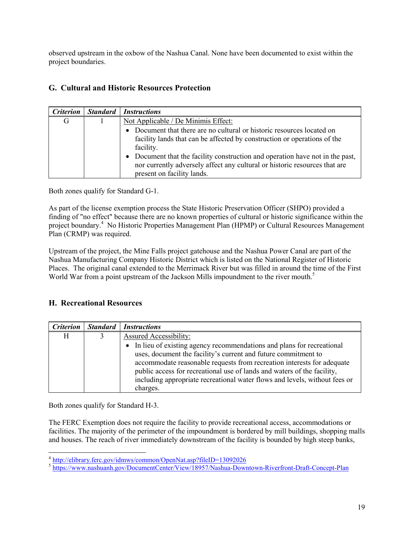observed upstream in the oxbow of the Nashua Canal. None have been documented to exist within the project boundaries.

#### **G. Cultural and Historic Resources Protection**

| <i><b>Criterion</b></i> | Standard | <i>Instructions</i>                                                                                                                                                                     |
|-------------------------|----------|-----------------------------------------------------------------------------------------------------------------------------------------------------------------------------------------|
| G                       |          | Not Applicable / De Minimis Effect:                                                                                                                                                     |
|                         |          | • Document that there are no cultural or historic resources located on<br>facility lands that can be affected by construction or operations of the<br>facility.                         |
|                         |          | Document that the facility construction and operation have not in the past,<br>nor currently adversely affect any cultural or historic resources that are<br>present on facility lands. |

Both zones qualify for Standard G-1.

As part of the license exemption process the State Historic Preservation Officer (SHPO) provided a finding of "no effect" because there are no known properties of cultural or historic significance within the project boundary.<sup>4</sup> No Historic Properties Management Plan (HPMP) or Cultural Resources Management Plan (CRMP) was required.

Upstream of the project, the Mine Falls project gatehouse and the Nashua Power Canal are part of the Nashua Manufacturing Company Historic District which is listed on the National Register of Historic Places. The original canal extended to the Merrimack River but was filled in around the time of the First World War from a point upstream of the Jackson Mills impoundment to the river mouth.<sup>5</sup>

### **H. Recreational Resources**

| <i>Criterion</i> | Standard Instructions                                                      |
|------------------|----------------------------------------------------------------------------|
| H                | <b>Assured Accessibility:</b>                                              |
|                  | • In lieu of existing agency recommendations and plans for recreational    |
|                  | uses, document the facility's current and future commitment to             |
|                  | accommodate reasonable requests from recreation interests for adequate     |
|                  | public access for recreational use of lands and waters of the facility,    |
|                  | including appropriate recreational water flows and levels, without fees or |
|                  | charges.                                                                   |

Both zones qualify for Standard H-3.

The FERC Exemption does not require the facility to provide recreational access, accommodations or facilities. The majority of the perimeter of the impoundment is bordered by mill buildings, shopping malls and houses. The reach of river immediately downstream of the facility is bounded by high steep banks,

 4 http://elibrary.ferc.gov/idmws/common/OpenNat.asp?fileID=13092026

<sup>&</sup>lt;sup>5</sup> https://www.nashuanh.gov/DocumentCenter/View/18957/Nashua-Downtown-Riverfront-Draft-Concept-Plan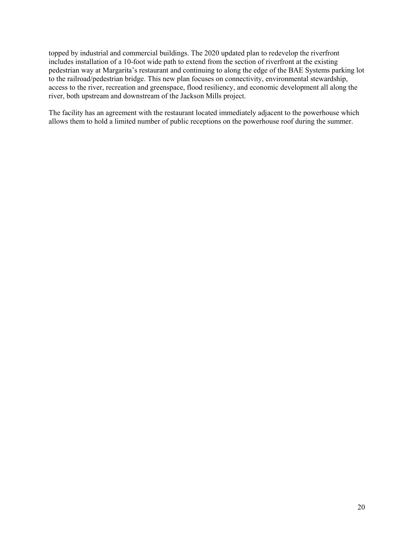topped by industrial and commercial buildings. The 2020 updated plan to redevelop the riverfront includes installation of a 10-foot wide path to extend from the section of riverfront at the existing pedestrian way at Margarita's restaurant and continuing to along the edge of the BAE Systems parking lot to the railroad/pedestrian bridge. This new plan focuses on connectivity, environmental stewardship, access to the river, recreation and greenspace, flood resiliency, and economic development all along the river, both upstream and downstream of the Jackson Mills project.

The facility has an agreement with the restaurant located immediately adjacent to the powerhouse which allows them to hold a limited number of public receptions on the powerhouse roof during the summer.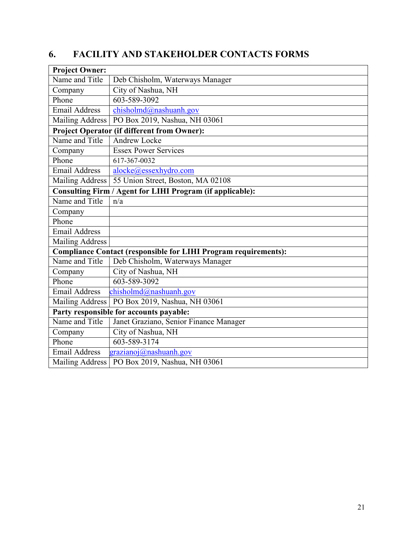# **6. FACILITY AND STAKEHOLDER CONTACTS FORMS**

| <b>Project Owner:</b>                   |                                                                        |  |
|-----------------------------------------|------------------------------------------------------------------------|--|
| Name and Title                          | Deb Chisholm, Waterways Manager                                        |  |
| Company                                 | City of Nashua, NH                                                     |  |
| Phone                                   | 603-589-3092                                                           |  |
| Email Address                           | chisholmd@nashuanh.gov                                                 |  |
| <b>Mailing Address</b>                  | PO Box 2019, Nashua, NH 03061                                          |  |
|                                         | <b>Project Operator (if different from Owner):</b>                     |  |
| Name and Title                          | <b>Andrew Locke</b>                                                    |  |
| Company                                 | <b>Essex Power Services</b>                                            |  |
| Phone                                   | 617-367-0032                                                           |  |
| <b>Email Address</b>                    | alocke@essexhydro.com                                                  |  |
| <b>Mailing Address</b>                  | 55 Union Street, Boston, MA 02108                                      |  |
|                                         | Consulting Firm / Agent for LIHI Program (if applicable):              |  |
| Name and Title                          | n/a                                                                    |  |
| Company                                 |                                                                        |  |
| Phone                                   |                                                                        |  |
| <b>Email Address</b>                    |                                                                        |  |
| <b>Mailing Address</b>                  |                                                                        |  |
|                                         | <b>Compliance Contact (responsible for LIHI Program requirements):</b> |  |
| Name and Title                          | Deb Chisholm, Waterways Manager                                        |  |
| Company                                 | City of Nashua, NH                                                     |  |
| Phone                                   | 603-589-3092                                                           |  |
| Email Address                           | chisholmd@nashuanh.gov                                                 |  |
| <b>Mailing Address</b>                  | PO Box 2019, Nashua, NH 03061                                          |  |
| Party responsible for accounts payable: |                                                                        |  |
| Name and Title                          | Janet Graziano, Senior Finance Manager                                 |  |
| Company                                 | City of Nashua, NH                                                     |  |
| Phone                                   | 603-589-3174                                                           |  |
| <b>Email Address</b>                    | grazianoj@nashuanh.gov                                                 |  |
| <b>Mailing Address</b>                  | PO Box 2019, Nashua, NH 03061                                          |  |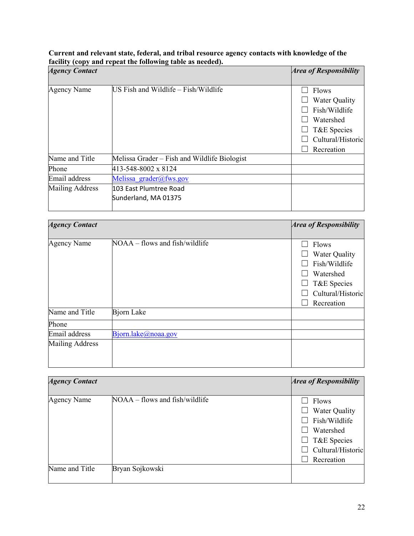#### **Current and relevant state, federal, and tribal resource agency contacts with knowledge of the facility (copy and repeat the following table as needed).**

| <b>Agency Contact</b>  |                                                | <b>Area of Responsibility</b>                                                                                 |
|------------------------|------------------------------------------------|---------------------------------------------------------------------------------------------------------------|
| <b>Agency Name</b>     | US Fish and Wildlife - Fish/Wildlife           | <b>Flows</b><br>Water Quality<br>Fish/Wildlife<br>Watershed<br>T&E Species<br>Cultural/Historic<br>Recreation |
| Name and Title         | Melissa Grader – Fish and Wildlife Biologist   |                                                                                                               |
| Phone                  | 413-548-8002 x 8124                            |                                                                                                               |
| Email address          | Melissa grader@fws.gov                         |                                                                                                               |
| <b>Mailing Address</b> | 103 East Plumtree Road<br>Sunderland, MA 01375 |                                                                                                               |

| <b>Agency Contact</b>  |                                | <b>Area of Responsibility</b>                                                                          |
|------------------------|--------------------------------|--------------------------------------------------------------------------------------------------------|
| <b>Agency Name</b>     | NOAA – flows and fish/wildlife | Flows<br>Water Quality<br>Fish/Wildlife<br>Watershed<br>T&E Species<br>Cultural/Historic<br>Recreation |
| Name and Title         | Bjorn Lake                     |                                                                                                        |
| Phone                  |                                |                                                                                                        |
| Email address          | Bjorn.lake@noaa.gov            |                                                                                                        |
| <b>Mailing Address</b> |                                |                                                                                                        |

| <b>Agency Contact</b> |                                | <b>Area of Responsibility</b> |
|-----------------------|--------------------------------|-------------------------------|
|                       |                                |                               |
| <b>Agency Name</b>    | NOAA – flows and fish/wildlife | Flows                         |
|                       |                                | Water Quality                 |
|                       |                                | Fish/Wildlife                 |
|                       |                                | Watershed                     |
|                       |                                | T&E Species                   |
|                       |                                | Cultural/Historic             |
|                       |                                | Recreation                    |
| Name and Title        | Bryan Sojkowski                |                               |
|                       |                                |                               |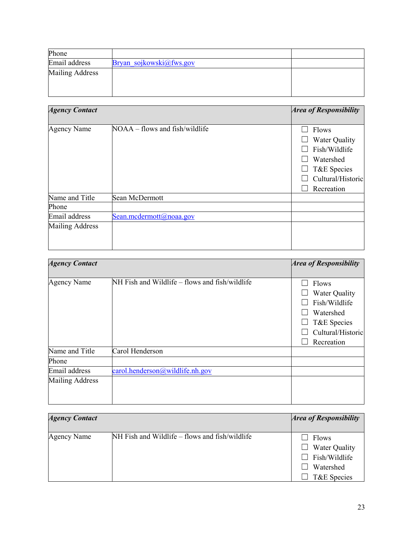| Phone                  |                         |  |
|------------------------|-------------------------|--|
| Email address          | Bryan sojkowski@fws.gov |  |
| <b>Mailing Address</b> |                         |  |

| <b>Agency Contact</b>  |                                | <b>Area of Responsibility</b>                                                                          |
|------------------------|--------------------------------|--------------------------------------------------------------------------------------------------------|
| <b>Agency Name</b>     | NOAA – flows and fish/wildlife | Flows<br>Water Quality<br>Fish/Wildlife<br>Watershed<br>T&E Species<br>Cultural/Historic<br>Recreation |
| Name and Title         | Sean McDermott                 |                                                                                                        |
| Phone                  |                                |                                                                                                        |
| Email address          | Sean.mcdermott@noaa.gov        |                                                                                                        |
| <b>Mailing Address</b> |                                |                                                                                                        |

| <b>Agency Contact</b>  |                                                | <b>Area of Responsibility</b>                                                                                 |
|------------------------|------------------------------------------------|---------------------------------------------------------------------------------------------------------------|
| <b>Agency Name</b>     | NH Fish and Wildlife – flows and fish/wildlife | Flows<br><b>Water Quality</b><br>Fish/Wildlife<br>Watershed<br>T&E Species<br>Cultural/Historic<br>Recreation |
| Name and Title         | Carol Henderson                                |                                                                                                               |
| Phone                  |                                                |                                                                                                               |
| Email address          | $card.$ henderson $(a)$ wildlife.nh.gov        |                                                                                                               |
| <b>Mailing Address</b> |                                                |                                                                                                               |

| <b>Agency Contact</b> |                                                | <i>Area of Responsibility</i>                                       |
|-----------------------|------------------------------------------------|---------------------------------------------------------------------|
| Agency Name           | NH Fish and Wildlife – flows and fish/wildlife | Flows<br>Water Quality<br>Fish/Wildlife<br>Watershed<br>T&E Species |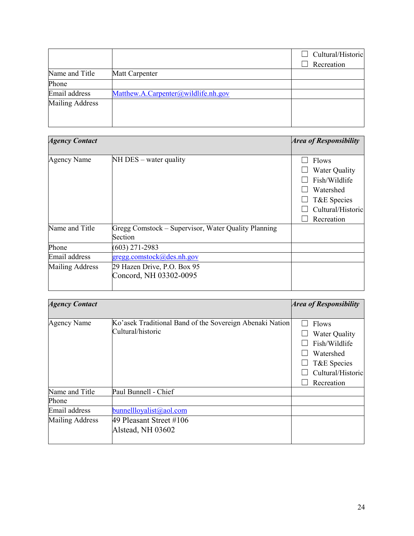|                        |                                     | Cultural/Historic<br>Recreation |
|------------------------|-------------------------------------|---------------------------------|
| Name and Title         | Matt Carpenter                      |                                 |
| Phone                  |                                     |                                 |
| Email address          | Matthew.A.Carpenter@wildlife.nh.gov |                                 |
| <b>Mailing Address</b> |                                     |                                 |

| <b>Agency Contact</b>  |                                                                | <b>Area of Responsibility</b>                                                                                 |
|------------------------|----------------------------------------------------------------|---------------------------------------------------------------------------------------------------------------|
| <b>Agency Name</b>     | $NH$ DES – water quality                                       | <b>Flows</b><br>Water Quality<br>Fish/Wildlife<br>Watershed<br>T&E Species<br>Cultural/Historic<br>Recreation |
| Name and Title         | Gregg Comstock - Supervisor, Water Quality Planning<br>Section |                                                                                                               |
| Phone                  | $(603)$ 271-2983                                               |                                                                                                               |
| Email address          | gregg.comstock@des.nh.gov                                      |                                                                                                               |
| <b>Mailing Address</b> | 29 Hazen Drive, P.O. Box 95<br>Concord, NH 03302-0095          |                                                                                                               |

| <b>Agency Contact</b> |                                                                               | <b>Area of Responsibility</b>                                                                                 |
|-----------------------|-------------------------------------------------------------------------------|---------------------------------------------------------------------------------------------------------------|
|                       |                                                                               |                                                                                                               |
| <b>Agency Name</b>    | Ko'asek Traditional Band of the Sovereign Abenaki Nation<br>Cultural/historic | Flows<br><b>Water Quality</b><br>Fish/Wildlife<br>Watershed<br>T&E Species<br>Cultural/Historic<br>Recreation |
| Name and Title        | Paul Bunnell - Chief                                                          |                                                                                                               |
| Phone                 |                                                                               |                                                                                                               |
| Email address         | bunnellloyalist@aol.com                                                       |                                                                                                               |
| Mailing Address       | 49 Pleasant Street #106<br>Alstead, NH 03602                                  |                                                                                                               |